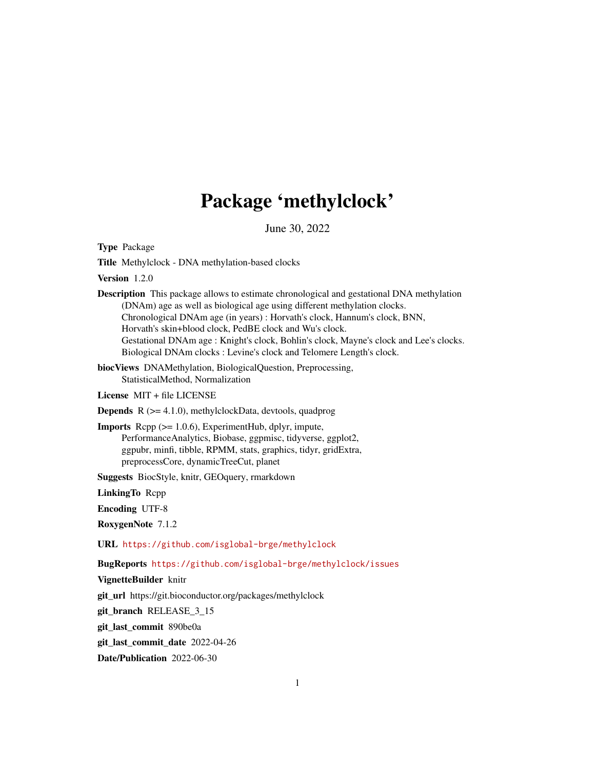# Package 'methylclock'

June 30, 2022

<span id="page-0-0"></span>Type Package

Title Methylclock - DNA methylation-based clocks

Version 1.2.0

Description This package allows to estimate chronological and gestational DNA methylation (DNAm) age as well as biological age using different methylation clocks. Chronological DNAm age (in years) : Horvath's clock, Hannum's clock, BNN, Horvath's skin+blood clock, PedBE clock and Wu's clock. Gestational DNAm age : Knight's clock, Bohlin's clock, Mayne's clock and Lee's clocks. Biological DNAm clocks : Levine's clock and Telomere Length's clock.

biocViews DNAMethylation, BiologicalQuestion, Preprocessing, StatisticalMethod, Normalization

License MIT + file LICENSE

**Depends**  $R$  ( $>= 4.1.0$ ), methylclockData, devtools, quadprog

Imports Rcpp (>= 1.0.6), ExperimentHub, dplyr, impute, PerformanceAnalytics, Biobase, ggpmisc, tidyverse, ggplot2, ggpubr, minfi, tibble, RPMM, stats, graphics, tidyr, gridExtra, preprocessCore, dynamicTreeCut, planet

Suggests BiocStyle, knitr, GEOquery, rmarkdown

LinkingTo Rcpp

Encoding UTF-8

RoxygenNote 7.1.2

URL <https://github.com/isglobal-brge/methylclock>

BugReports <https://github.com/isglobal-brge/methylclock/issues>

VignetteBuilder knitr

git\_url https://git.bioconductor.org/packages/methylclock

git branch RELEASE 3 15

git\_last\_commit 890be0a

git\_last\_commit\_date 2022-04-26

Date/Publication 2022-06-30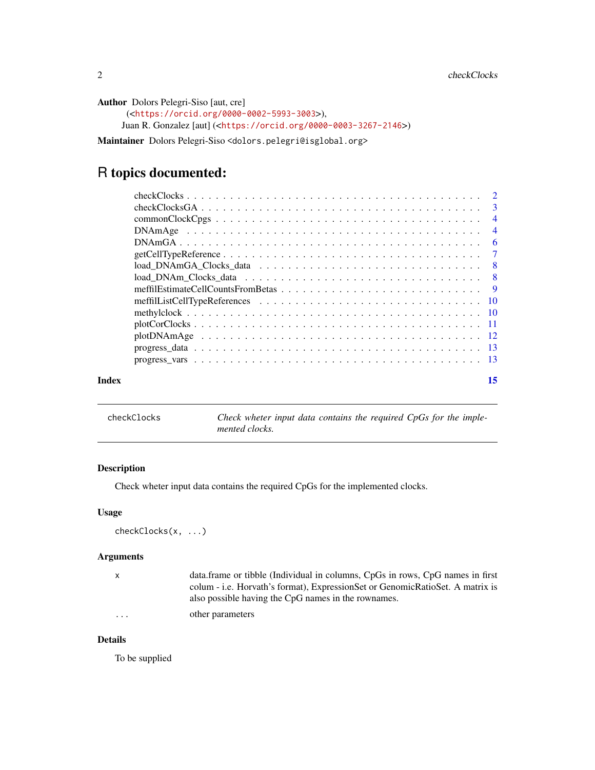```
Author Dolors Pelegri-Siso [aut, cre]
      (<https://orcid.org/0000-0002-5993-3003>),
     Juan R. Gonzalez [aut] (<https://orcid.org/0000-0003-3267-2146>)
```
Maintainer Dolors Pelegri-Siso <dolors.pelegri@isglobal.org>

## R topics documented:

| Index | 15 |
|-------|----|

| checkClocks | Check wheter input data contains the required CpGs for the imple- |
|-------------|-------------------------------------------------------------------|
|             | mented clocks.                                                    |

#### Description

Check wheter input data contains the required CpGs for the implemented clocks.

#### Usage

checkClocks(x, ...)

#### Arguments

| $\mathsf{x}$ | data.frame or tibble (Individual in columns, CpGs in rows, CpG names in first |
|--------------|-------------------------------------------------------------------------------|
|              | colum - i.e. Horvath's format), ExpressionSet or GenomicRatioSet. A matrix is |
|              | also possible having the CpG names in the rownames.                           |
| $\cdots$     | other parameters                                                              |

#### Details

To be supplied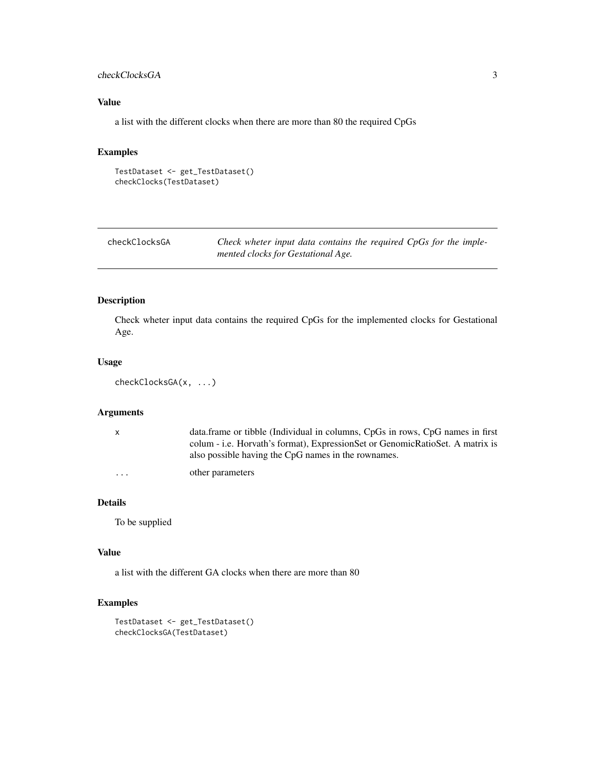#### <span id="page-2-0"></span>checkClocksGA 3

#### Value

a list with the different clocks when there are more than 80 the required CpGs

#### Examples

```
TestDataset <- get_TestDataset()
checkClocks(TestDataset)
```

| checkClocksGA | Check wheter input data contains the required CpGs for the imple- |  |  |  |  |  |
|---------------|-------------------------------------------------------------------|--|--|--|--|--|
|               | mented clocks for Gestational Age.                                |  |  |  |  |  |

#### Description

Check wheter input data contains the required CpGs for the implemented clocks for Gestational Age.

#### Usage

```
checkClocksGA(x, ...)
```
#### Arguments

|                         | data.frame or tibble (Individual in columns, CpGs in rows, CpG names in first<br>colum - i.e. Horvath's format), ExpressionSet or GenomicRatioSet. A matrix is |
|-------------------------|----------------------------------------------------------------------------------------------------------------------------------------------------------------|
|                         | also possible having the CpG names in the rownames.<br>other parameters                                                                                        |
| $\cdot$ $\cdot$ $\cdot$ |                                                                                                                                                                |

#### Details

To be supplied

#### Value

a list with the different GA clocks when there are more than 80

```
TestDataset <- get_TestDataset()
checkClocksGA(TestDataset)
```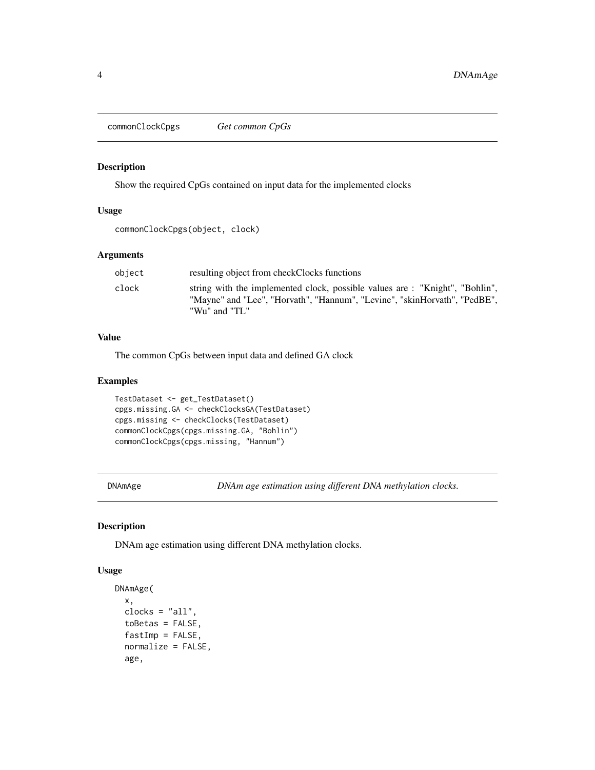<span id="page-3-0"></span>commonClockCpgs *Get common CpGs*

#### Description

Show the required CpGs contained on input data for the implemented clocks

#### Usage

```
commonClockCpgs(object, clock)
```
#### Arguments

| object | resulting object from checkClocks functions                                                                                                                               |
|--------|---------------------------------------------------------------------------------------------------------------------------------------------------------------------------|
| clock  | string with the implemented clock, possible values are: "Knight", "Bohlin",<br>"Mayne" and "Lee", "Horvath", "Hannum", "Levine", "skinHorvath", "PedBE",<br>"Wu" and "TL" |

#### Value

The common CpGs between input data and defined GA clock

#### Examples

```
TestDataset <- get_TestDataset()
cpgs.missing.GA <- checkClocksGA(TestDataset)
cpgs.missing <- checkClocks(TestDataset)
commonClockCpgs(cpgs.missing.GA, "Bohlin")
commonClockCpgs(cpgs.missing, "Hannum")
```
DNAmAge *DNAm age estimation using different DNA methylation clocks.*

#### Description

DNAm age estimation using different DNA methylation clocks.

#### Usage

```
DNAmAge(
 x,
 clocks = "all",toBetas = FALSE,
 fastImp = FALSE,normalize = FALSE,
 age,
```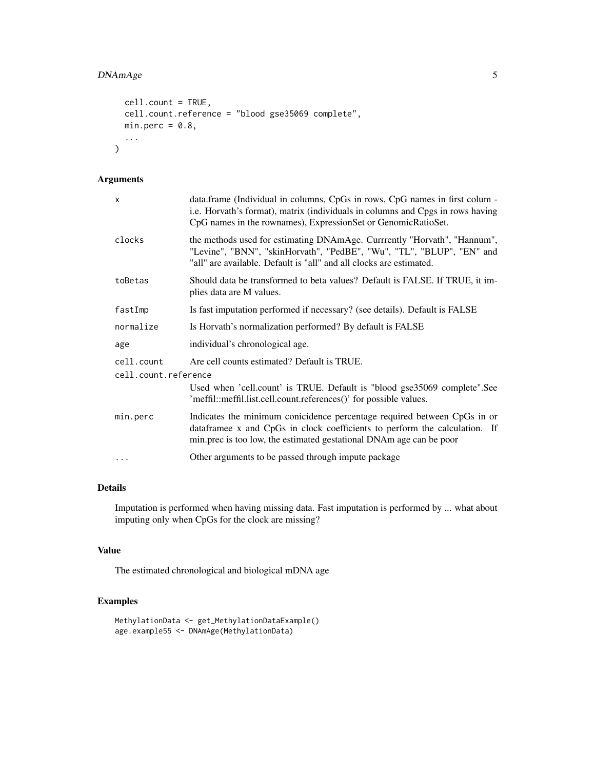#### DNAmAge 5

```
cell.count = TRUE,
 cell.count.reference = "blood gse35069 complete",
 min.perc = 0.8,
  ...
)
```
#### Arguments

| x                    | data.frame (Individual in columns, CpGs in rows, CpG names in first colum -<br>i.e. Horvath's format), matrix (individuals in columns and Cpgs in rows having<br>CpG names in the rownames), ExpressionSet or GenomicRatioSet. |
|----------------------|--------------------------------------------------------------------------------------------------------------------------------------------------------------------------------------------------------------------------------|
| clocks               | the methods used for estimating DNAmAge. Currrently "Horvath", "Hannum",<br>"Levine", "BNN", "skinHorvath", "PedBE", "Wu", "TL", "BLUP", "EN" and<br>"all" are available. Default is "all" and all clocks are estimated.       |
| toBetas              | Should data be transformed to beta values? Default is FALSE. If TRUE, it im-<br>plies data are M values.                                                                                                                       |
| fastImp              | Is fast imputation performed if necessary? (see details). Default is FALSE                                                                                                                                                     |
| normalize            | Is Horvath's normalization performed? By default is FALSE                                                                                                                                                                      |
| age                  | individual's chronological age.                                                                                                                                                                                                |
| cell.count           | Are cell counts estimated? Default is TRUE.                                                                                                                                                                                    |
| cell.count.reference |                                                                                                                                                                                                                                |
|                      | Used when 'cell.count' is TRUE. Default is "blood gse35069 complete". See<br>'meffil::meffil.list.cell.count.references()' for possible values.                                                                                |
| min.perc             | Indicates the minimum conicidence percentage required between CpGs in or<br>dataframee x and CpGs in clock coefficients to perform the calculation. If<br>min.prec is too low, the estimated gestational DNAm age can be poor  |
| .                    | Other arguments to be passed through impute package                                                                                                                                                                            |
|                      |                                                                                                                                                                                                                                |

#### Details

Imputation is performed when having missing data. Fast imputation is performed by ... what about imputing only when CpGs for the clock are missing?

#### Value

The estimated chronological and biological mDNA age

```
MethylationData <- get_MethylationDataExample()
age.example55 <- DNAmAge(MethylationData)
```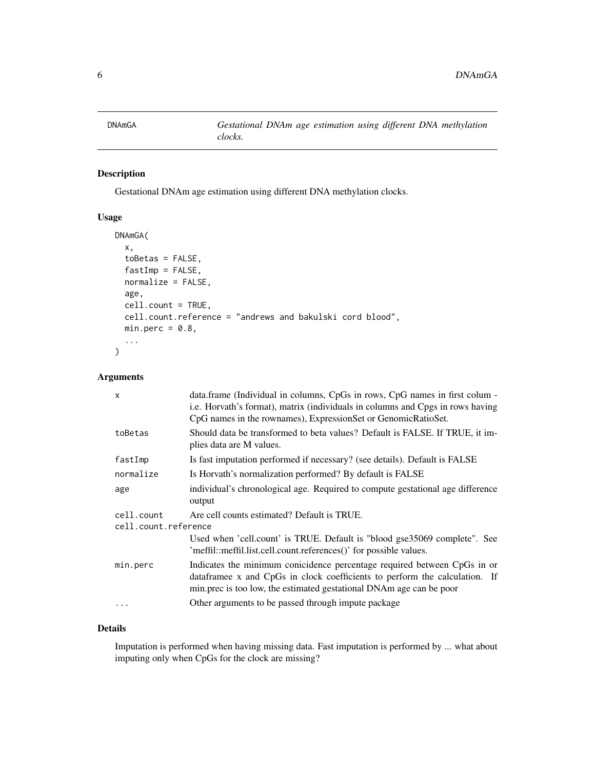<span id="page-5-0"></span>

Gestational DNAm age estimation using different DNA methylation clocks.

#### Usage

```
DNAmGA(
  x,
  toBetas = FALSE,
  fastImp = FALSE,
  normalize = FALSE,
  age,
  cell.count = TRUE,
  cell.count.reference = "andrews and bakulski cord blood",
 min.perc = 0.8,...
)
```
#### Arguments

| $\mathsf{x}$                       | data.frame (Individual in columns, CpGs in rows, CpG names in first colum -<br>i.e. Horvath's format), matrix (individuals in columns and Cpgs in rows having<br>CpG names in the rownames), ExpressionSet or GenomicRatioSet. |
|------------------------------------|--------------------------------------------------------------------------------------------------------------------------------------------------------------------------------------------------------------------------------|
| toBetas                            | Should data be transformed to beta values? Default is FALSE. If TRUE, it im-<br>plies data are M values.                                                                                                                       |
| fastImp                            | Is fast imputation performed if necessary? (see details). Default is FALSE                                                                                                                                                     |
| normalize                          | Is Horvath's normalization performed? By default is FALSE                                                                                                                                                                      |
| age                                | individual's chronological age. Required to compute gestational age difference<br>output                                                                                                                                       |
| cell.count<br>cell.count.reference | Are cell counts estimated? Default is TRUE.                                                                                                                                                                                    |
|                                    | Used when 'cell.count' is TRUE. Default is "blood gse35069 complete". See<br>'meffil::meffil.list.cell.count.references()' for possible values.                                                                                |
| min.perc                           | Indicates the minimum conicidence percentage required between CpGs in or<br>dataframee x and CpGs in clock coefficients to perform the calculation. If<br>min.prec is too low, the estimated gestational DNAm age can be poor  |
| $\cdots$                           | Other arguments to be passed through impute package                                                                                                                                                                            |

#### Details

Imputation is performed when having missing data. Fast imputation is performed by ... what about imputing only when CpGs for the clock are missing?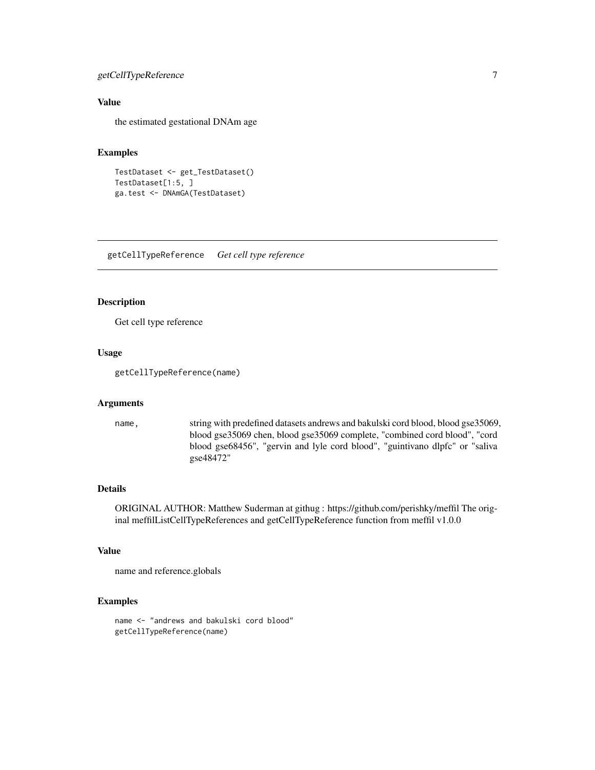#### <span id="page-6-0"></span>getCellTypeReference 7

#### Value

the estimated gestational DNAm age

#### Examples

```
TestDataset <- get_TestDataset()
TestDataset[1:5, ]
ga.test <- DNAmGA(TestDataset)
```
getCellTypeReference *Get cell type reference*

#### Description

Get cell type reference

#### Usage

getCellTypeReference(name)

#### Arguments

name, string with predefined datasets andrews and bakulski cord blood, blood gse35069, blood gse35069 chen, blood gse35069 complete, "combined cord blood", "cord blood gse68456", "gervin and lyle cord blood", "guintivano dlpfc" or "saliva gse48472"

#### Details

ORIGINAL AUTHOR: Matthew Suderman at githug : https://github.com/perishky/meffil The original meffilListCellTypeReferences and getCellTypeReference function from meffil v1.0.0

#### Value

name and reference.globals

#### Examples

name <- "andrews and bakulski cord blood" getCellTypeReference(name)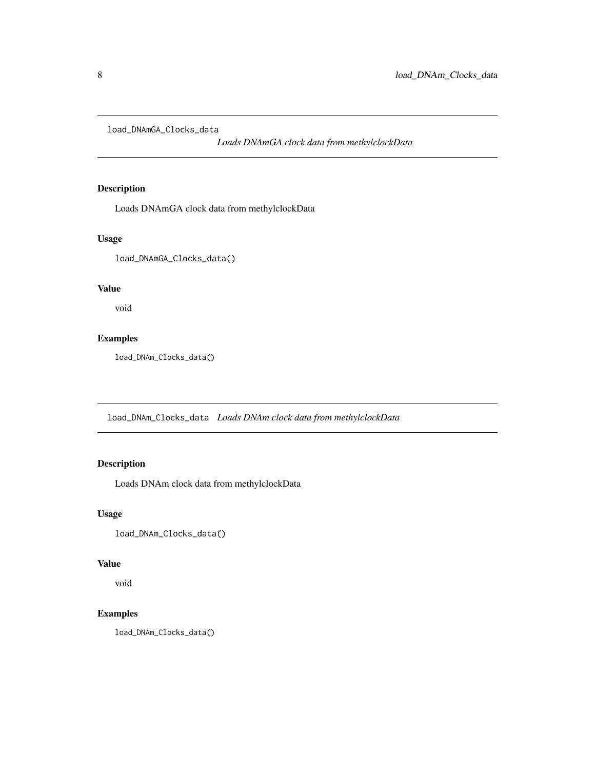<span id="page-7-0"></span>load\_DNAmGA\_Clocks\_data

*Loads DNAmGA clock data from methylclockData*

#### Description

Loads DNAmGA clock data from methylclockData

#### Usage

load\_DNAmGA\_Clocks\_data()

#### Value

void

#### Examples

load\_DNAm\_Clocks\_data()

load\_DNAm\_Clocks\_data *Loads DNAm clock data from methylclockData*

#### Description

Loads DNAm clock data from methylclockData

#### Usage

load\_DNAm\_Clocks\_data()

#### Value

void

#### Examples

load\_DNAm\_Clocks\_data()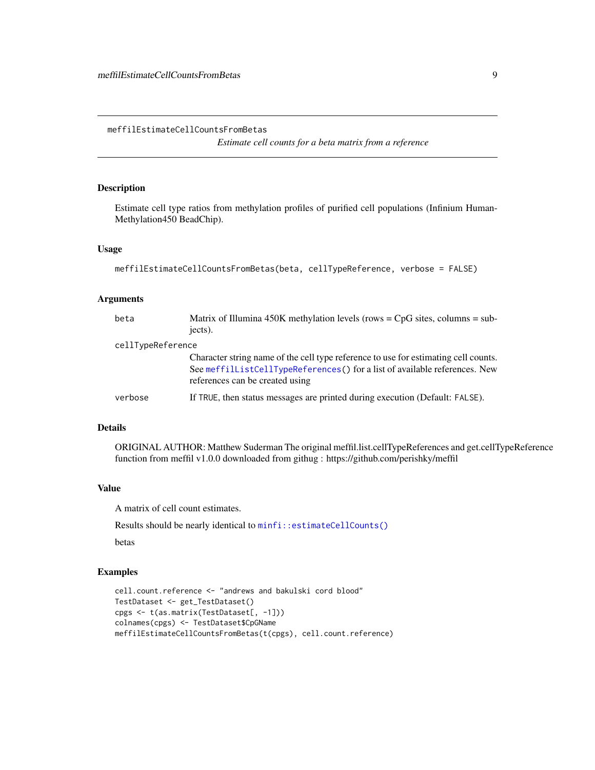<span id="page-8-0"></span>meffilEstimateCellCountsFromBetas

*Estimate cell counts for a beta matrix from a reference*

#### Description

Estimate cell type ratios from methylation profiles of purified cell populations (Infinium Human-Methylation450 BeadChip).

#### Usage

```
meffilEstimateCellCountsFromBetas(beta, cellTypeReference, verbose = FALSE)
```
#### Arguments

| beta              | Matrix of Illumina 450K methylation levels (rows = $CpG$ sites, columns = sub-<br>jects).                                                                                                            |
|-------------------|------------------------------------------------------------------------------------------------------------------------------------------------------------------------------------------------------|
| cellTypeReference |                                                                                                                                                                                                      |
|                   | Character string name of the cell type reference to use for estimating cell counts.<br>See meffillistCellTypeReferences() for a list of available references. New<br>references can be created using |
| verbose           | If TRUE, then status messages are printed during execution (Default: FALSE).                                                                                                                         |

#### Details

ORIGINAL AUTHOR: Matthew Suderman The original meffil.list.cellTypeReferences and get.cellTypeReference function from meffil v1.0.0 downloaded from githug : https://github.com/perishky/meffil

#### Value

A matrix of cell count estimates.

Results should be nearly identical to [minfi::estimateCellCounts\(\)](#page-0-0)

betas

```
cell.count.reference <- "andrews and bakulski cord blood"
TestDataset <- get_TestDataset()
cpgs <- t(as.matrix(TestDataset[, -1]))
colnames(cpgs) <- TestDataset$CpGName
meffilEstimateCellCountsFromBetas(t(cpgs), cell.count.reference)
```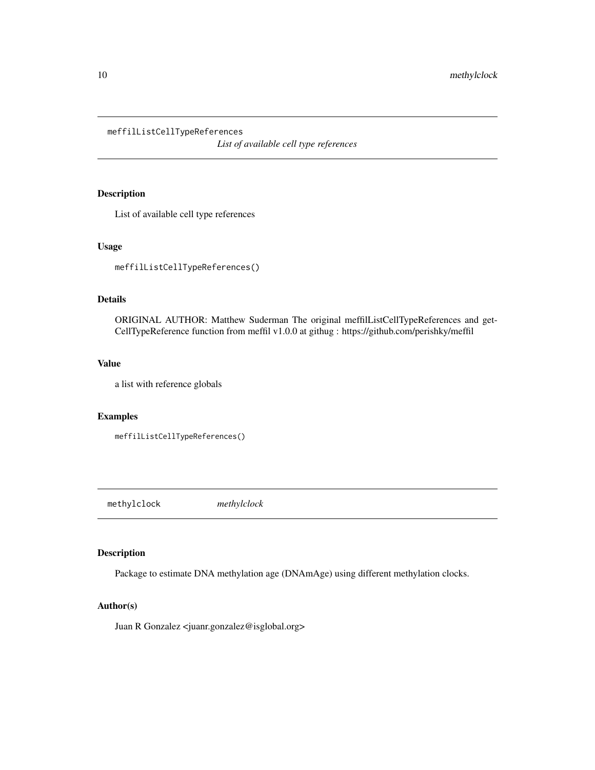<span id="page-9-1"></span><span id="page-9-0"></span>meffilListCellTypeReferences

*List of available cell type references*

#### Description

List of available cell type references

#### Usage

meffilListCellTypeReferences()

#### Details

ORIGINAL AUTHOR: Matthew Suderman The original meffilListCellTypeReferences and get-CellTypeReference function from meffil v1.0.0 at githug : https://github.com/perishky/meffil

#### Value

a list with reference globals

#### Examples

```
meffilListCellTypeReferences()
```
methylclock *methylclock*

#### Description

Package to estimate DNA methylation age (DNAmAge) using different methylation clocks.

#### Author(s)

Juan R Gonzalez <juanr.gonzalez@isglobal.org>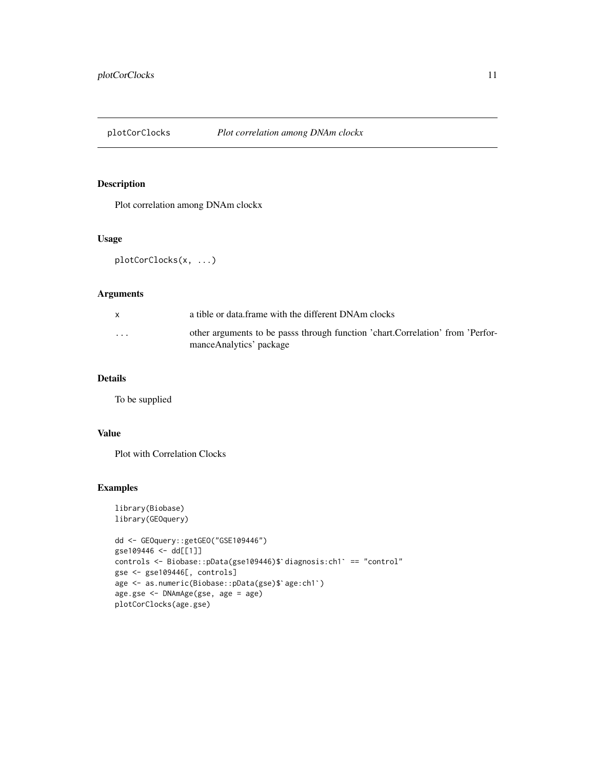<span id="page-10-0"></span>

Plot correlation among DNAm clockx

#### Usage

plotCorClocks(x, ...)

#### Arguments

| $\mathsf{x}$ | a tible or data frame with the different DNAm clocks                                                      |
|--------------|-----------------------------------------------------------------------------------------------------------|
| $\cdots$     | other arguments to be passs through function 'chart.Correlation' from 'Perfor-<br>manceAnalytics' package |

#### Details

To be supplied

#### Value

Plot with Correlation Clocks

```
library(Biobase)
library(GEOquery)
dd <- GEOquery::getGEO("GSE109446")
gse109446 <- dd[[1]]
dd <– GEOquery::getGEO("GSE109446")<br>gse109446 <– dd[[1]]<br>controls <– Biobase::pData(gse109446)$`diagnosis:ch1` == "control"
gse <- gse109446[, controls]
gse109446 <<mark>- dd[[1]]</mark><br>controls <- Biobase::pData(gse109446)$`diagnosis<br>gse <- gse109446[, controls]<br>age <- as.numeric(Biobase::pData(gse)$`age:ch1`)
age.gse <- DNAmAge(gse, age = age)
plotCorClocks(age.gse)
```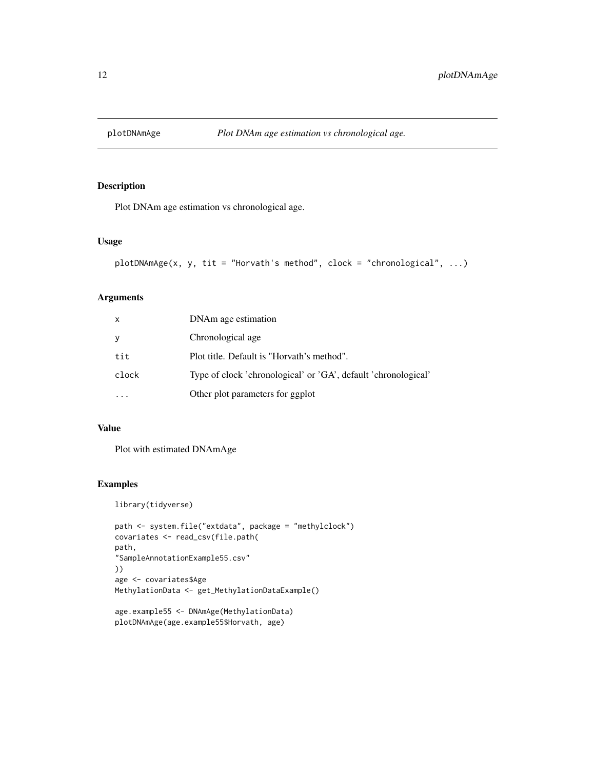<span id="page-11-0"></span>

Plot DNAm age estimation vs chronological age.

#### Usage

```
plotDNAmAge(x, y, tit = "Horvath's method", clock = "chronological", ...)
```
#### Arguments

| X     | DNAm age estimation                                            |
|-------|----------------------------------------------------------------|
| У     | Chronological age                                              |
| tit   | Plot title. Default is "Horvath's method".                     |
| clock | Type of clock 'chronological' or 'GA', default 'chronological' |
|       | Other plot parameters for ggplot                               |

#### Value

Plot with estimated DNAmAge

```
library(tidyverse)
```

```
path <- system.file("extdata", package = "methylclock")
covariates <- read_csv(file.path(
path,
"SampleAnnotationExample55.csv"
))
age <- covariates$Age
MethylationData <- get_MethylationDataExample()
```

```
age.example55 <- DNAmAge(MethylationData)
plotDNAmAge(age.example55$Horvath, age)
```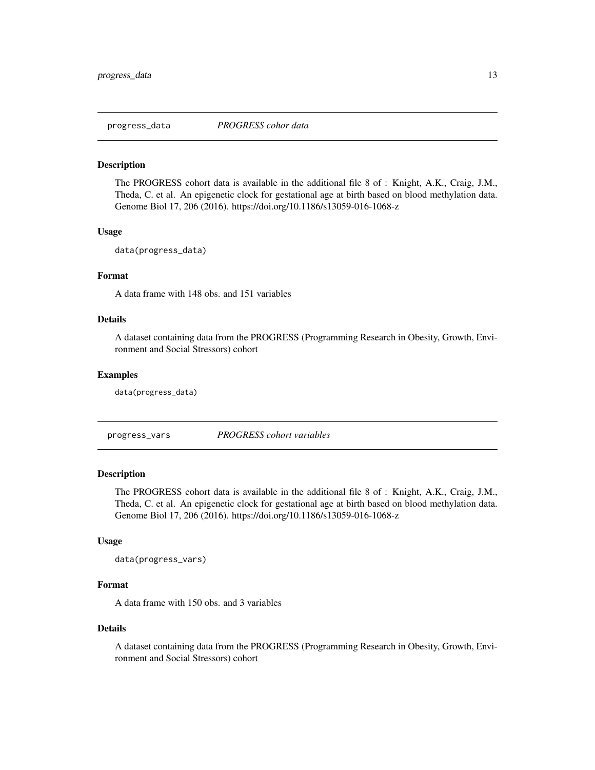<span id="page-12-0"></span>

The PROGRESS cohort data is available in the additional file 8 of : Knight, A.K., Craig, J.M., Theda, C. et al. An epigenetic clock for gestational age at birth based on blood methylation data. Genome Biol 17, 206 (2016). https://doi.org/10.1186/s13059-016-1068-z

#### Usage

```
data(progress_data)
```
#### Format

A data frame with 148 obs. and 151 variables

#### Details

A dataset containing data from the PROGRESS (Programming Research in Obesity, Growth, Environment and Social Stressors) cohort

#### Examples

data(progress\_data)

progress\_vars *PROGRESS cohort variables*

#### Description

The PROGRESS cohort data is available in the additional file 8 of : Knight, A.K., Craig, J.M., Theda, C. et al. An epigenetic clock for gestational age at birth based on blood methylation data. Genome Biol 17, 206 (2016). https://doi.org/10.1186/s13059-016-1068-z

#### Usage

```
data(progress_vars)
```
#### Format

A data frame with 150 obs. and 3 variables

#### Details

A dataset containing data from the PROGRESS (Programming Research in Obesity, Growth, Environment and Social Stressors) cohort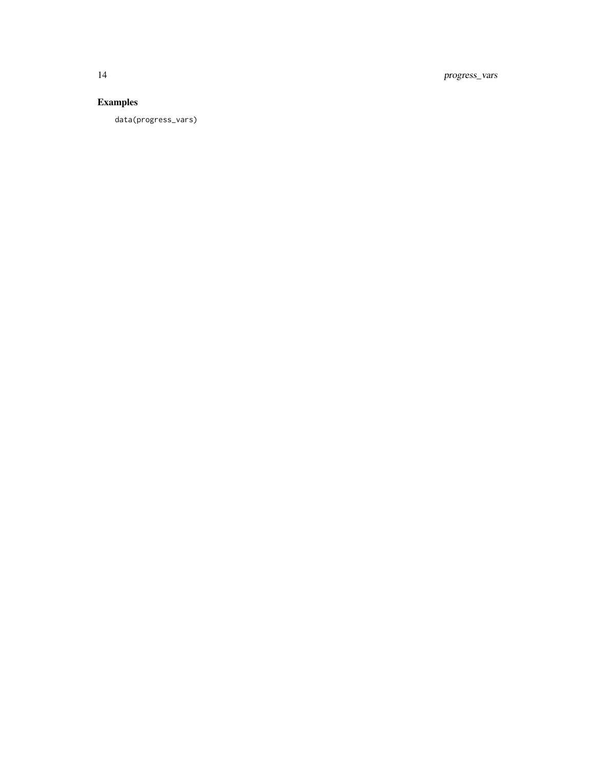14 progress\_vars

### Examples

data(progress\_vars)